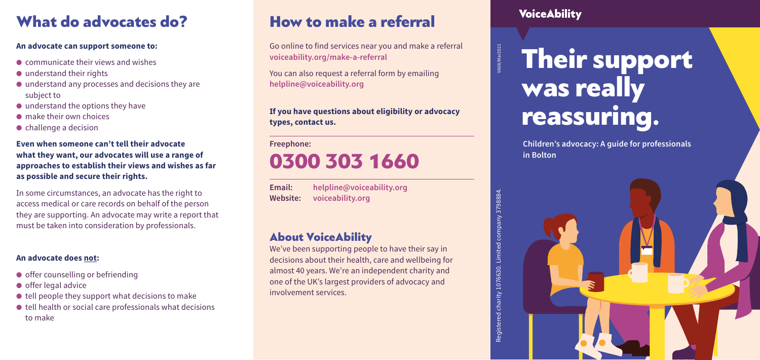# How to make a referral

Go online to find services near you and make a referral **voiceability.org/make-a-referral**

You can also request a referral form by emailing **helpline@voiceability.org**

**If you have questions about eligibility or advocacy types, contact us.** 

**Freephone:**

# 0300 303 1660

**VoiceAbility** 

| Email:   | helpline@voiceability.org |
|----------|---------------------------|
| Website: | voiceability.org          |

## About VoiceAbility

# Their support was really reassuring.

We've been supporting people to have their say in decisions about their health, care and wellbeing for almost 40 years. We're an independent charity and one of the UK's largest providers of advocacy and involvement services.

A08/Mar2021

**Children's advocacy: A guide for professionals**

**in Bolton**

## What do advocates do?

### **An advocate can support someone to:**

- $\bullet$  communicate their views and wishes
- understand their rights
- understand any processes and decisions they are subject to
- $\bullet$  understand the options they have
- make their own choices
- challenge a decision

- offer counselling or befriending
- offer legal advice
- $\bullet$  tell people they support what decisions to make
- $\bullet$  tell health or social care professionals what decisions to make

## **Even when someone can't tell their advocate what they want, our advocates will use a range of approaches to establish their views and wishes as far as possible and secure their rights.**

In some circumstances, an advocate has the right to access medical or care records on behalf of the person they are supporting. An advocate may write a report that must be taken into consideration by professionals.

## **An advocate does not:**